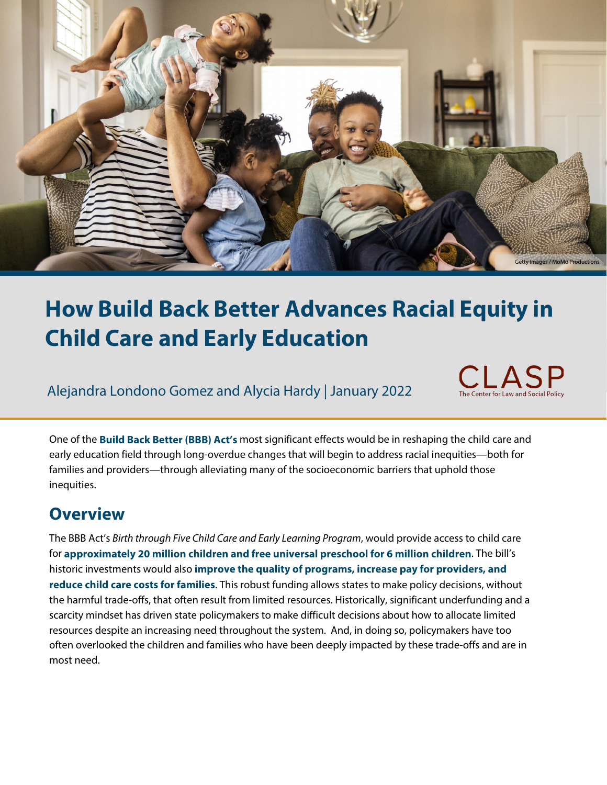

# **How Build Back Better Advances Racial Equity in Child Care and Early Education**

Alejandra Londono Gomez and Alycia Hardy | January 2022



One of the **[Build Back Better \(BBB\) Act'](https://www.help.senate.gov/imo/media/doc/KIN21845.pdf)s** most significant effects would be in reshaping the child care and early education field through long-overdue changes that will begin to address racial inequities—both for families and providers—through alleviating many of the socioeconomic barriers that uphold those inequities.

#### **Overview**

The BBB Act's *Birth through Five Child Care and Early Learning Program*, would provide access to child care for **[approximately 20 million children and free universal preschool for 6 million](https://www.whitehouse.gov/briefing-room/statements-releases/2021/10/28/build-back-better-framework/) children**. The bill's historic investments would also **[improve the quality of programs, increase pay for providers, and](https://www.clasp.org/blog/7-things-know-about-child-care-and-universal-pre-k-build-back-better-act)  [reduce child care costs for families](https://www.clasp.org/blog/7-things-know-about-child-care-and-universal-pre-k-build-back-better-act)**. This robust funding allows states to make policy decisions, without the harmful trade-offs, that often result from limited resources. Historically, significant underfunding and a scarcity mindset has driven state policymakers to make difficult decisions about how to allocate limited resources despite an increasing need throughout the system. And, in doing so, policymakers have too often overlooked the children and families who have been deeply impacted by these trade-offs and are in most need.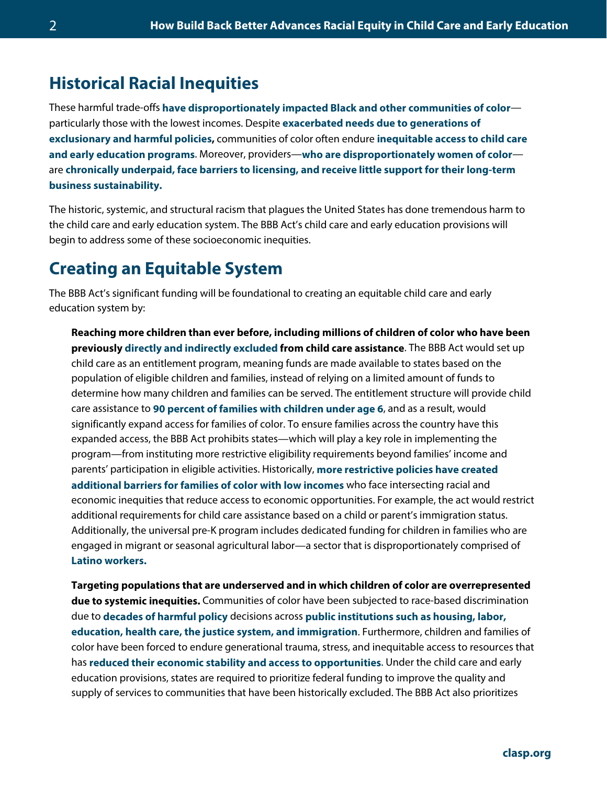#### **Historical Racial Inequities**

These harmful trade-offs **[have disproportionately impacted Black and other communities of color](https://www.clasp.org/press-room/news-clips/build-back-better-we-must-build-back-black)** particularly those with the lowest incomes. Despite **[exacerbated needs due to generations of](https://www.childtrends.org/publications/federal-policies-can-address-the-impact-of-structural-racism-on-black-families-access-to-early-care-and-education)  [exclusionary and harmful policies,](https://www.childtrends.org/publications/federal-policies-can-address-the-impact-of-structural-racism-on-black-families-access-to-early-care-and-education)** communities of color often endure **[inequitable access to child care](https://www.clasp.org/publications/report/brief/anti-racist-approach-supporting-child-care-through-covid-19-and-beyond)  [and early education programs](https://www.clasp.org/publications/report/brief/anti-racist-approach-supporting-child-care-through-covid-19-and-beyond)**. Moreover, providers—**[who are disproportionately women of color](https://nwlc.org/wp-content/uploads/2017/12/final_nwlc_Undervalued2017.pdf)** are **[chronically underpaid, face barriers to licensing, and receive little support for their long-term](https://www.epi.org/publication/child-care-workers-arent-paid-enough-to-make-ends-meet/)  [business sustainability.](https://www.epi.org/publication/child-care-workers-arent-paid-enough-to-make-ends-meet/)**

The historic, systemic, and structural racism that plagues the United States has done tremendous harm to the child care and early education system. The BBB Act's child care and early education provisions will begin to address some of these socioeconomic inequities.

### **Creating an Equitable System**

The BBB Act's significant funding will be foundational to creating an equitable child care and early education system by:

**Reaching more children than ever before, including millions of children of color who have been previously [directly and indirectly excluded](https://www.clasp.org/sites/default/files/publications/2017/12/2017_EquityStartsEarly_0.pdf) from child care assistance**. The BBB Act would set up child care as an entitlement program, meaning funds are made available to states based on the population of eligible children and families, instead of relying on a limited amount of funds to determine how many children and families can be served. The entitlement structure will provide child care assistance to **[90 percent of families with children under age 6](https://www.whitehouse.gov/build-back-better/)**, and as a result, would significantly expand access for families of color. To ensure families across the country have this expanded access, the BBB Act prohibits states—which will play a key role in implementing the program—from instituting more restrictive eligibility requirements beyond families' income and parents' participation in eligible activities. Historically, **[more restrictive policies have created](https://www.urban.org/sites/default/files/publication/104777/assessing-child-care-subsidies-through-an-equity-lens.pdf)  [additional barriers for families of color with low incomes](https://www.urban.org/sites/default/files/publication/104777/assessing-child-care-subsidies-through-an-equity-lens.pdf)** who face intersecting racial and economic inequities that reduce access to economic opportunities. For example, the act would restrict additional requirements for child care assistance based on a child or parent's immigration status. Additionally, the universal pre-K program includes dedicated funding for children in families who are engaged in migrant or seasonal agricultural labor—a sector that is disproportionately comprised of **[Latino workers.](http://www.ncaeonline.org/resources/data-and-statistics/)**

**Targeting populations that are underserved and in which children of color are overrepresented due to systemic inequities.** Communities of color have been subjected to race-based discrimination due to **[decades of harmful policy](https://www.childtrends.org/publications/federal-policies-can-address-the-impact-of-structural-racism-on-black-families-access-to-early-care-and-education)** decisions across **[public institutions such as housing, labor,](https://www.ncbi.nlm.nih.gov/pmc/articles/PMC2915460/)  [education, health care, the justice system, and immigration](https://www.ncbi.nlm.nih.gov/pmc/articles/PMC2915460/)**. Furthermore, children and families of color have been forced to endure generational trauma, stress, and inequitable access to resources that has **[reduced their economic stability and access to opportunities](https://www.brookings.edu/research/long-shadows-the-black-white-gap-in-multigenerational-poverty/)**. Under the child care and early education provisions, states are required to prioritize federal funding to improve the quality and supply of services to communities that have been historically excluded. The BBB Act also prioritizes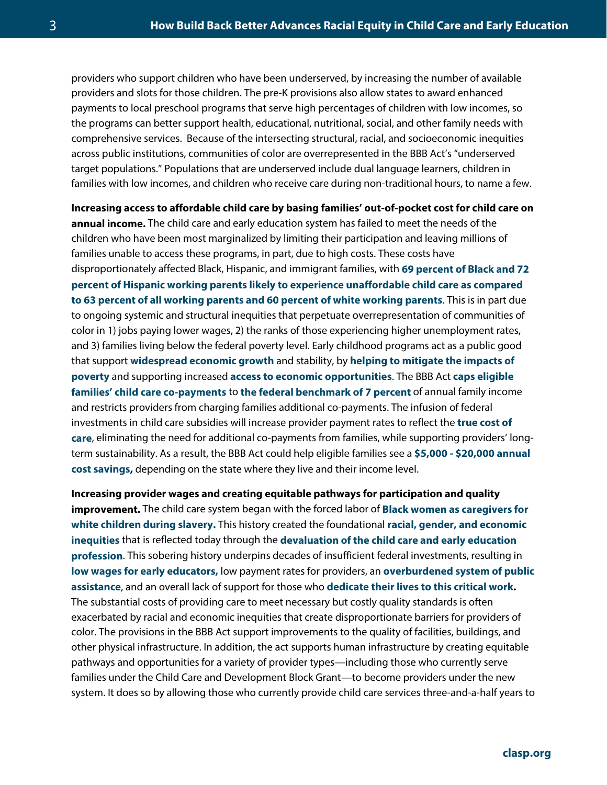providers who support children who have been underserved, by increasing the number of available providers and slots for those children. The pre-K provisions also allow states to award enhanced payments to local preschool programs that serve high percentages of children with low incomes, so the programs can better support health, educational, nutritional, social, and other family needs with comprehensive services. Because of the intersecting structural, racial, and socioeconomic inequities across public institutions, communities of color are overrepresented in the BBB Act's "underserved target populations." Populations that are underserved include dual language learners, children in families with low incomes, and children who receive care during non-traditional hours, to name a few.

**Increasing access to affordable child care by basing families' out-of-pocket cost for child care on annual income.** The child care and early education system has failed to meet the needs of the children who have been most marginalized by limiting their participation and leaving millions of families unable to access these programs, in part, due to high costs. These costs have disproportionately affected Black, Hispanic, and immigrant families, with **[69 percent of Black and 72](https://www.diversitydatakids.org/sites/default/files/2020-02/child-care_update.pdf)  [percent of Hispanic working parents likely to experience unaffordable child care as compared](https://www.diversitydatakids.org/sites/default/files/2020-02/child-care_update.pdf)  [to 63 percent of all working parents and 60 percent of white working parents](https://www.diversitydatakids.org/sites/default/files/2020-02/child-care_update.pdf)**. This is in part due to ongoing systemic and structural inequities that perpetuate overrepresentation of communities of color in 1) jobs paying lower wages, 2) the ranks of those experiencing higher unemployment rates, and 3) families living below the federal poverty level. Early childhood programs act as a public good that support **[widespread economic growth](https://www.rand.org/pubs/research_briefs/RB9145.html)** and stability, by **[helping to mitigate the impacts of](https://srcd.onlinelibrary.wiley.com/doi/10.1111/cdev.13696)  [poverty](https://srcd.onlinelibrary.wiley.com/doi/10.1111/cdev.13696)** and supporting increased **[access to economic opportunities](https://www.clasp.org/sites/default/files/publications/2018/11/Building%20Strong%20Foundations%20Racial%20Equity%20Brief.pdf)**. The BBB Act **[caps eligible](https://www.clasp.org/publications/fact-sheet/capping-co-pay-child-care-analysis)  [families' child care co-payments](https://www.clasp.org/publications/fact-sheet/capping-co-pay-child-care-analysis)** to **[the federal benchmark of 7 percent](https://childcareta.acf.hhs.gov/ccdf-fundamentals/family-copayment-contribution)** of annual family income and restricts providers from charging families additional co-payments. The infusion of federal investments in child care subsidies will increase provider payment rates to reflect the **[true cost of](https://www.costofchildcare.org/)  [care](https://www.costofchildcare.org/)**, eliminating the need for additional co-payments from families, while supporting providers' longterm sustainability. As a result, the BBB Act could help eligible families see a **\$5,000 - [\\$20,000 annual](https://edlabor.house.gov/imo/media/doc/2021-09-30%20BBB%20Child%20Care%20State-by-State%20Savings.pdf)  [cost savings,](https://edlabor.house.gov/imo/media/doc/2021-09-30%20BBB%20Child%20Care%20State-by-State%20Savings.pdf)** depending on the state where they live and their income level.

**Increasing provider wages and creating equitable pathways for participation and quality improvement.** The child care system began with the forced labor of **[Black women as caregivers for](https://www.clasp.org/sites/default/files/publications/2017/12/2017_EquityStartsEarly_0.pdf)  [white children during slavery.](https://www.clasp.org/sites/default/files/publications/2017/12/2017_EquityStartsEarly_0.pdf)** This history created the foundational **[racial, gender, and economic](https://www.epi.org/blog/black-womens-labor-market-history-reveals-deep-seated-race-and-gender-discrimination/)  [inequities](https://www.epi.org/blog/black-womens-labor-market-history-reveals-deep-seated-race-and-gender-discrimination/)** that is reflected today through the **[devaluation of the child care and](https://www.epi.org/publication/higher-wages-for-child-care-and-home-health-care-workers/) early education [profession](https://www.epi.org/publication/higher-wages-for-child-care-and-home-health-care-workers/)**. This sobering history underpins decades of insufficient federal investments, resulting in **[low wages for early educators,](https://www.bls.gov/oes/current/oes399011.htm)** low payment rates for providers, an **[overburdened system of public](https://home.treasury.gov/system/files/136/The-Economics-of-Childcare-Supply-09-14-final.pdf)  [assistance](https://home.treasury.gov/system/files/136/The-Economics-of-Childcare-Supply-09-14-final.pdf)**, and an overall lack of support for those who **[dedicate their lives to this critical work.](https://cscce.berkeley.edu/workforce-index-2020/wp-content/uploads/sites/2/2021/02/Early-Childhood-Workforce-Index-2020.pdf)**  The substantial costs of providing care to meet necessary but costly quality standards is often exacerbated by racial and economic inequities that create disproportionate barriers for providers of color. The provisions in the BBB Act support improvements to the quality of facilities, buildings, and other physical infrastructure. In addition, the act supports human infrastructure by creating equitable pathways and opportunities for a variety of provider types—including those who currently serve families under the Child Care and Development Block Grant—to become providers under the new system. It does so by allowing those who currently provide child care services three-and-a-half years to